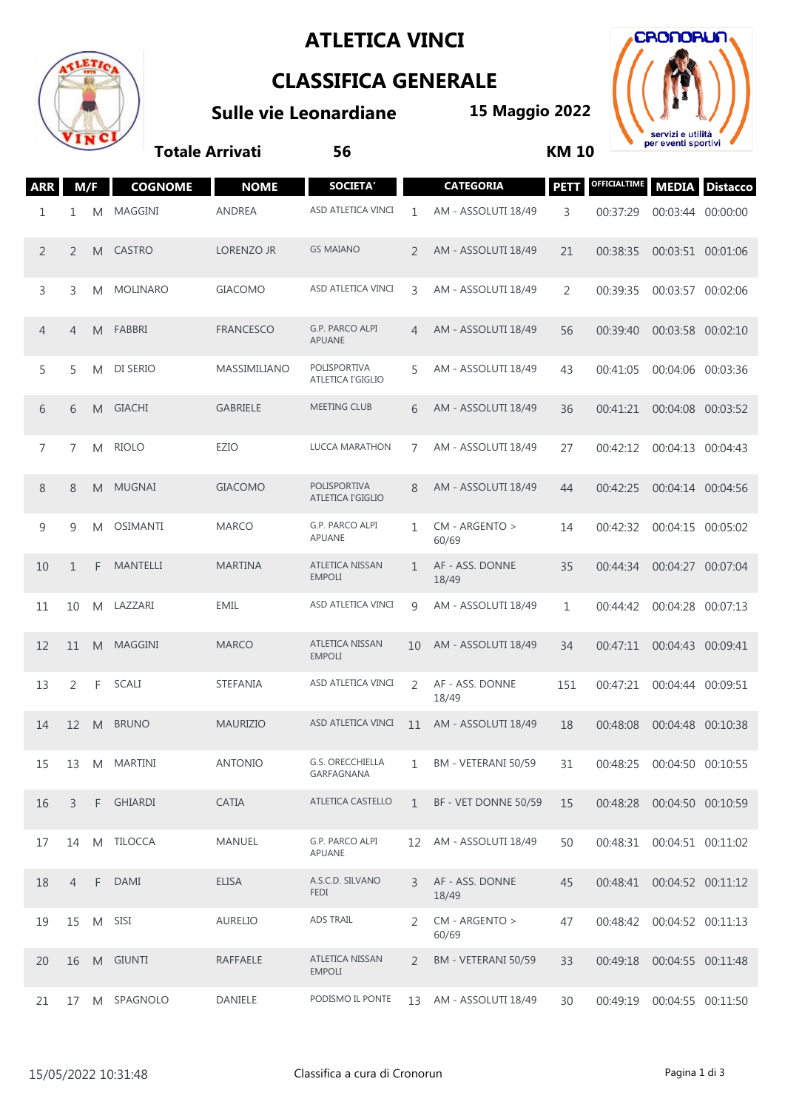## **ATLETICA VINCI**



## **CLASSIFICA GENERALE**

**Sulle vie Leonardiane**

**15 Maggio 2022**



**Totale Arrivati 56 KM 10**

| <b>ARR</b>     | M/F            |    | <b>COGNOME</b>  | <b>NOME</b>       | <b>SOCIETA'</b>                          |                   | <b>CATEGORIA</b>         | <b>PETT</b>    | OFFICIALTIME |                   | <b>MEDIA Distacco</b> |
|----------------|----------------|----|-----------------|-------------------|------------------------------------------|-------------------|--------------------------|----------------|--------------|-------------------|-----------------------|
| 1              | 1              | M  | MAGGINI         | <b>ANDREA</b>     | ASD ATLETICA VINCI                       | 1                 | AM - ASSOLUTI 18/49      | 3              | 00:37:29     | 00:03:44 00:00:00 |                       |
| 2              | 2              | M  | <b>CASTRO</b>   | <b>LORENZO JR</b> | <b>GS MAIANO</b>                         | 2                 | AM - ASSOLUTI 18/49      | 21             | 00:38:35     | 00:03:51 00:01:06 |                       |
| 3              | 3              | M  | MOLINARO        | <b>GIACOMO</b>    | ASD ATLETICA VINCI                       | 3                 | AM - ASSOLUTI 18/49      | $\overline{2}$ | 00:39:35     | 00:03:57 00:02:06 |                       |
| $\overline{4}$ | $\overline{4}$ | M  | FABBRI          | <b>FRANCESCO</b>  | G.P. PARCO ALPI<br><b>APUANE</b>         | $\overline{4}$    | AM - ASSOLUTI 18/49      | 56             | 00:39:40     | 00:03:58 00:02:10 |                       |
| 5              | 5              | M  | DI SERIO        | MASSIMILIANO      | POLISPORTIVA<br><b>ATLETICA I'GIGLIO</b> | 5                 | AM - ASSOLUTI 18/49      | 43             | 00:41:05     | 00:04:06 00:03:36 |                       |
| 6              | 6              | M  | <b>GIACHI</b>   | <b>GABRIELE</b>   | <b>MEETING CLUB</b>                      | 6                 | AM - ASSOLUTI 18/49      | 36             | 00:41:21     | 00:04:08 00:03:52 |                       |
| 7              | 7              | M  | <b>RIOLO</b>    | EZIO              | LUCCA MARATHON                           | $\overline{7}$    | AM - ASSOLUTI 18/49      | 27             | 00:42:12     | 00:04:13          | 00:04:43              |
| 8              | 8              | M  | MUGNAI          | <b>GIACOMO</b>    | <b>POLISPORTIVA</b><br>ATLETICA I'GIGLIO | 8                 | AM - ASSOLUTI 18/49      | 44             | 00:42:25     | 00:04:14 00:04:56 |                       |
| 9              | 9              | M  | <b>OSIMANTI</b> | <b>MARCO</b>      | G.P. PARCO ALPI<br>APUANE                | 1                 | CM - ARGENTO ><br>60/69  | 14             | 00:42:32     | 00:04:15 00:05:02 |                       |
| 10             | $\mathbf{1}$   | F  | MANTELLI        | <b>MARTINA</b>    | ATLETICA NISSAN<br><b>EMPOLI</b>         | $\mathbf{1}$      | AF - ASS. DONNE<br>18/49 | 35             | 00:44:34     | 00:04:27 00:07:04 |                       |
| 11             | 10             | M  | LAZZARI         | <b>EMIL</b>       | ASD ATLETICA VINCI                       | $\mathsf{Q}$      | AM - ASSOLUTI 18/49      | 1              | 00:44:42     | 00:04:28          | 00:07:13              |
| 12             | 11             | M  | <b>MAGGINI</b>  | <b>MARCO</b>      | ATLETICA NISSAN<br><b>EMPOLI</b>         | 10                | AM - ASSOLUTI 18/49      | 34             | 00:47:11     | 00:04:43 00:09:41 |                       |
| 13             | 2              | F. | SCALI           | STEFANIA          | ASD ATLETICA VINCI                       | 2                 | AF - ASS. DONNE<br>18/49 | 151            | 00:47:21     | 00:04:44          | 00:09:51              |
| 14             | 12             | M  | <b>BRUNO</b>    | <b>MAURIZIO</b>   | ASD ATLETICA VINCI                       | 11                | AM - ASSOLUTI 18/49      | 18             | 00:48:08     | 00:04:48 00:10:38 |                       |
| 15             | 13             | M  | <b>MARTINI</b>  | <b>ANTONIO</b>    | <b>G.S. ORECCHIELLA</b><br>GARFAGNANA    | 1                 | BM - VETERANI 50/59      | 31             | 00:48:25     | 00:04:50 00:10:55 |                       |
| 16             | 3              |    | F GHIARDI       | CATIA             | <b>ATLETICA CASTELLO</b>                 | $\mathbf{1}$      | BF - VET DONNE 50/59     | 15             | 00:48:28     | 00:04:50 00:10:59 |                       |
| 17             | 14             | M  | <b>TILOCCA</b>  | MANUEL            | G.P. PARCO ALPI<br>APUANE                | $12 \overline{ }$ | AM - ASSOLUTI 18/49      | 50             | 00:48:31     | 00:04:51 00:11:02 |                       |
| 18             | $\overline{4}$ |    | F DAMI          | <b>ELISA</b>      | A.S.C.D. SILVANO<br><b>FEDI</b>          | 3                 | AF - ASS. DONNE<br>18/49 | 45             | 00:48:41     | 00:04:52 00:11:12 |                       |
| 19             | 15             | M  | SISI            | <b>AURELIO</b>    | <b>ADS TRAIL</b>                         | 2                 | CM - ARGENTO ><br>60/69  | 47             | 00:48:42     | 00:04:52 00:11:13 |                       |
| 20             | 16             |    | M GIUNTI        | RAFFAELE          | ATLETICA NISSAN<br><b>EMPOLI</b>         | 2                 | BM - VETERANI 50/59      | 33             | 00:49:18     | 00:04:55 00:11:48 |                       |
| 21             | 17             | M  | SPAGNOLO        | DANIELE           | PODISMO IL PONTE                         | 13                | AM - ASSOLUTI 18/49      | 30             | 00:49:19     | 00:04:55 00:11:50 |                       |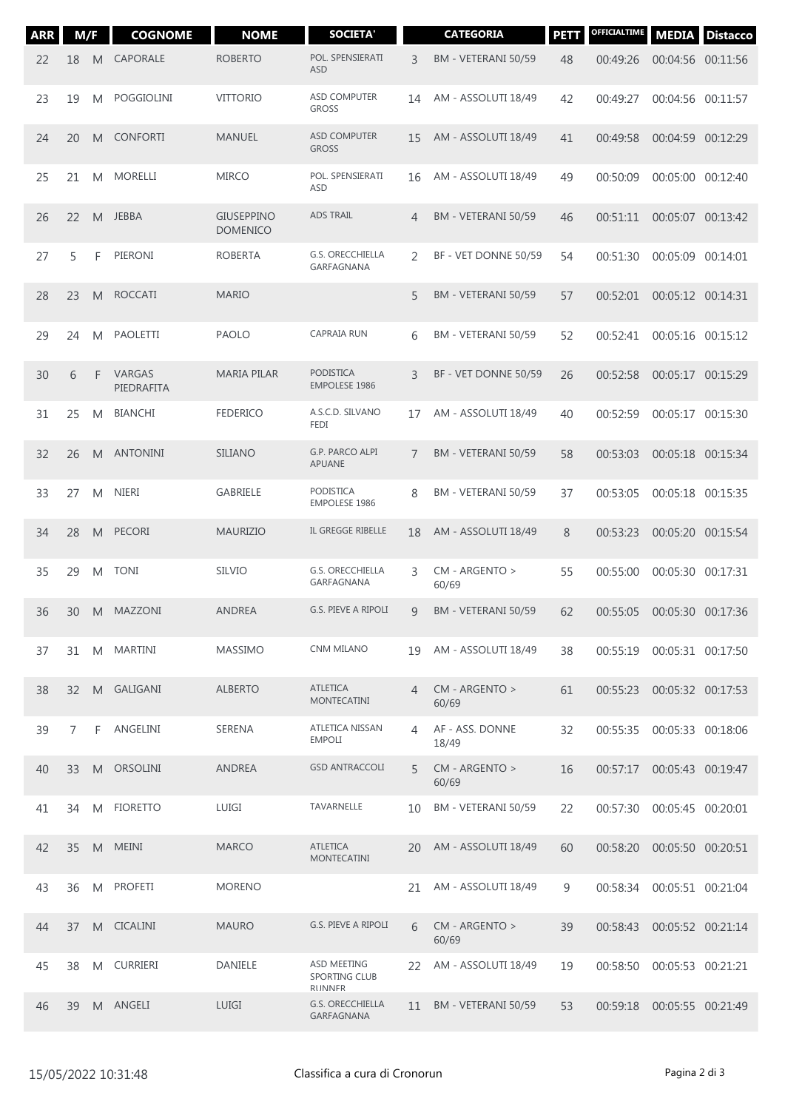| <b>ARR</b> | M/F             |    | <b>COGNOME</b>       | <b>NOME</b>                          | <b>SOCIETA'</b>                                       |                | <b>CATEGORIA</b>         | <b>PETT</b> | OFFICIALTIME | <b>MEDIA</b>      | <b>Distacco</b> |
|------------|-----------------|----|----------------------|--------------------------------------|-------------------------------------------------------|----------------|--------------------------|-------------|--------------|-------------------|-----------------|
| 22         | 18              | M  | CAPORALE             | <b>ROBERTO</b>                       | POL. SPENSIERATI<br><b>ASD</b>                        | 3              | BM - VETERANI 50/59      | 48          | 00:49:26     | 00:04:56 00:11:56 |                 |
| 23         | 19              | M  | <b>POGGIOLINI</b>    | <b>VITTORIO</b>                      | <b>ASD COMPUTER</b><br><b>GROSS</b>                   | 14             | AM - ASSOLUTI 18/49      | 42          | 00:49:27     | 00:04:56 00:11:57 |                 |
| 24         | 20              | M  | <b>CONFORTI</b>      | <b>MANUEL</b>                        | <b>ASD COMPUTER</b><br><b>GROSS</b>                   | 15             | AM - ASSOLUTI 18/49      | 41          | 00:49:58     | 00:04:59 00:12:29 |                 |
| 25         | 21              | M  | <b>MORELLI</b>       | <b>MIRCO</b>                         | POL. SPENSIERATI<br><b>ASD</b>                        | 16             | AM - ASSOLUTI 18/49      | 49          | 00:50:09     | 00:05:00 00:12:40 |                 |
| 26         | 22              | M  | JEBBA                | <b>GIUSEPPINO</b><br><b>DOMENICO</b> | <b>ADS TRAIL</b>                                      | 4              | BM - VETERANI 50/59      | 46          | 00:51:11     | 00:05:07 00:13:42 |                 |
| 27         | 5               | F  | PIERONI              | <b>ROBERTA</b>                       | <b>G.S. ORECCHIELLA</b><br>GARFAGNANA                 | 2              | BF - VET DONNE 50/59     | 54          | 00:51:30     | 00:05:09 00:14:01 |                 |
| 28         | 23              | M  | <b>ROCCATI</b>       | <b>MARIO</b>                         |                                                       | 5              | BM - VETERANI 50/59      | 57          | 00:52:01     | 00:05:12 00:14:31 |                 |
| 29         | 24              | M  | <b>PAOLETTI</b>      | <b>PAOLO</b>                         | <b>CAPRAIA RUN</b>                                    | 6              | BM - VETERANI 50/59      | 52          | 00:52:41     | 00:05:16 00:15:12 |                 |
| 30         | 6               | F  | VARGAS<br>PIEDRAFITA | <b>MARIA PILAR</b>                   | <b>PODISTICA</b><br><b>EMPOLESE 1986</b>              | 3              | BF - VET DONNE 50/59     | 26          | 00:52:58     | 00:05:17 00:15:29 |                 |
| 31         | 25              | M  | <b>BIANCHI</b>       | <b>FEDERICO</b>                      | A.S.C.D. SILVANO<br><b>FEDI</b>                       | 17             | AM - ASSOLUTI 18/49      | 40          | 00:52:59     | 00:05:17 00:15:30 |                 |
| 32         | 26              | M  | <b>ANTONINI</b>      | <b>SILIANO</b>                       | G.P. PARCO ALPI<br>APUANE                             | 7              | BM - VETERANI 50/59      | 58          | 00:53:03     | 00:05:18 00:15:34 |                 |
| 33         | 27              | M  | <b>NIERI</b>         | GABRIELE                             | PODISTICA<br><b>EMPOLESE 1986</b>                     | 8              | BM - VETERANI 50/59      | 37          | 00:53:05     | 00:05:18 00:15:35 |                 |
| 34         | 28              | M  | PECORI               | <b>MAURIZIO</b>                      | IL GREGGE RIBELLE                                     | 18             | AM - ASSOLUTI 18/49      | 8           | 00:53:23     | 00:05:20 00:15:54 |                 |
| 35         | 29              | M  | <b>TONI</b>          | <b>SILVIO</b>                        | <b>G.S. ORECCHIELLA</b><br>GARFAGNANA                 | 3              | CM - ARGENTO ><br>60/69  | 55          | 00:55:00     | 00:05:30 00:17:31 |                 |
| 36         | 30              | M  | MAZZONI              | <b>ANDREA</b>                        | G.S. PIEVE A RIPOLI                                   | 9              | BM - VETERANI 50/59      | 62          | 00:55:05     | 00:05:30 00:17:36 |                 |
| 37         | 31              |    | M MARTINI            | <b>MASSIMO</b>                       | <b>CNM MILANO</b>                                     | 19             | AM - ASSOLUTI 18/49      | 38          | 00:55:19     | 00:05:31 00:17:50 |                 |
| 38         | 32 <sup>2</sup> |    | M GALIGANI           | <b>ALBERTO</b>                       | <b>ATLETICA</b><br><b>MONTECATINI</b>                 | $\overline{4}$ | CM - ARGENTO ><br>60/69  | 61          | 00:55:23     | 00:05:32 00:17:53 |                 |
| 39         | 7               | F. | ANGELINI             | SERENA                               | ATLETICA NISSAN<br><b>EMPOLI</b>                      | 4              | AF - ASS. DONNE<br>18/49 | 32          | 00:55:35     | 00:05:33 00:18:06 |                 |
| 40         | 33              | M  | <b>ORSOLINI</b>      | <b>ANDREA</b>                        | <b>GSD ANTRACCOLI</b>                                 | 5              | CM - ARGENTO ><br>60/69  | 16          | 00:57:17     | 00:05:43 00:19:47 |                 |
| 41         | 34              | M  | <b>FIORETTO</b>      | LUIGI                                | TAVARNELLE                                            | 10             | BM - VETERANI 50/59      | 22          | 00:57:30     | 00:05:45 00:20:01 |                 |
| 42         | 35              | M  | MEINI                | <b>MARCO</b>                         | <b>ATLETICA</b><br><b>MONTECATINI</b>                 | 20             | AM - ASSOLUTI 18/49      | 60          | 00:58:20     | 00:05:50 00:20:51 |                 |
| 43         | 36              |    | M PROFETI            | <b>MORENO</b>                        |                                                       | 21             | AM - ASSOLUTI 18/49      | 9           | 00:58:34     | 00:05:51 00:21:04 |                 |
| 44         | 37              |    | M CICALINI           | <b>MAURO</b>                         | G.S. PIEVE A RIPOLI                                   | 6              | CM - ARGENTO ><br>60/69  | 39          | 00:58:43     | 00:05:52 00:21:14 |                 |
| 45         | 38              | M  | CURRIERI             | DANIELE                              | ASD MEETING<br><b>SPORTING CLUB</b><br><b>RIINNER</b> | 22             | AM - ASSOLUTI 18/49      | 19          | 00:58:50     | 00:05:53 00:21:21 |                 |
| 46         | 39              |    | M ANGELI             | <b>LUIGI</b>                         | <b>G.S. ORECCHIELLA</b><br>GARFAGNANA                 | 11             | BM - VETERANI 50/59      | 53          | 00:59:18     | 00:05:55 00:21:49 |                 |